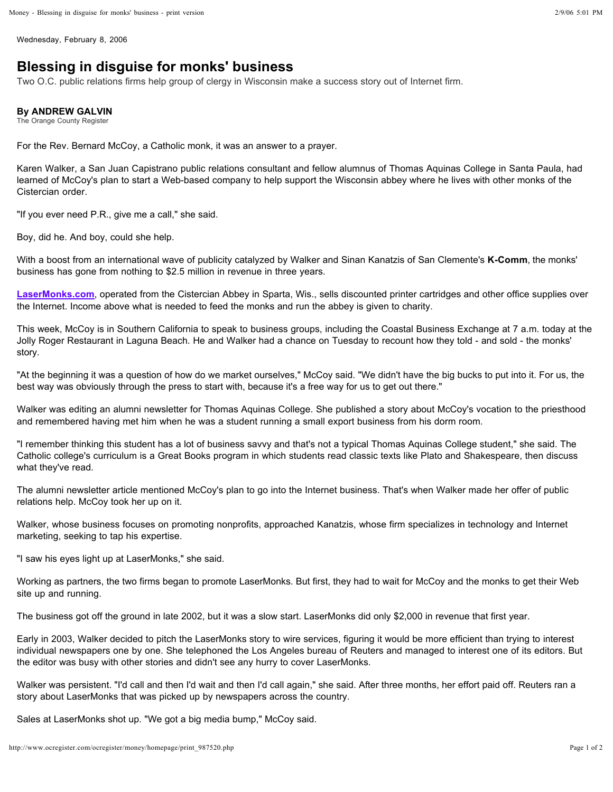Wednesday, February 8, 2006

## **Blessing in disguise for monks' business**

Two O.C. public relations firms help group of clergy in Wisconsin make a success story out of Internet firm.

## **By ANDREW GALVIN**

The Orange County Register

For the Rev. Bernard McCoy, a Catholic monk, it was an answer to a prayer.

Karen Walker, a San Juan Capistrano public relations consultant and fellow alumnus of Thomas Aquinas College in Santa Paula, had learned of McCoy's plan to start a Web-based company to help support the Wisconsin abbey where he lives with other monks of the Cistercian order.

"If you ever need P.R., give me a call," she said.

Boy, did he. And boy, could she help.

With a boost from an international wave of publicity catalyzed by Walker and Sinan Kanatzis of San Clemente's K-Comm, the monks' business has gone from nothing to \$2.5 million in revenue in three years.

LaserMonks.com, operated from the Cistercian Abbey in Sparta, Wis., sells discounted printer cartridges and other office supplies over the Internet. Income above what is needed to feed the monks and run the abbey is given to charity.

This week, McCoy is in Southern California to speak to business groups, including the Coastal Business Exchange at 7 a.m. today at the Jolly Roger Restaurant in Laguna Beach. He and Walker had a chance on Tuesday to recount how they told - and sold - the monks' story.

"At the beginning it was a question of how do we market ourselves," McCoy said. "We didn't have the big bucks to put into it. For us, the best way was obviously through the press to start with, because it's a free way for us to get out there."

Walker was editing an alumni newsletter for Thomas Aquinas College. She published a story about McCoy's vocation to the priesthood and remembered having met him when he was a student running a small export business from his dorm room.

"I remember thinking this student has a lot of business savvy and that's not a typical Thomas Aquinas College student," she said. The Catholic college's curriculum is a Great Books program in which students read classic texts like Plato and Shakespeare, then discuss what they've read.

The alumni newsletter article mentioned McCoy's plan to go into the Internet business. That's when Walker made her offer of public relations help. McCoy took her up on it.

Walker, whose business focuses on promoting nonprofits, approached Kanatzis, whose firm specializes in technology and Internet marketing, seeking to tap his expertise.

"I saw his eyes light up at LaserMonks," she said.

Working as partners, the two firms began to promote LaserMonks. But first, they had to wait for McCoy and the monks to get their Web site up and running.

The business got off the ground in late 2002, but it was a slow start. LaserMonks did only \$2,000 in revenue that first year.

Early in 2003, Walker decided to pitch the LaserMonks story to wire services, figuring it would be more efficient than trying to interest individual newspapers one by one. She telephoned the Los Angeles bureau of Reuters and managed to interest one of its editors. But the editor was busy with other stories and didn't see any hurry to cover LaserMonks.

Walker was persistent. "I'd call and then I'd wait and then I'd call again," she said. After three months, her effort paid off. Reuters ran a story about LaserMonks that was picked up by newspapers across the country.

Sales at LaserMonks shot up. "We got a big media bump," McCoy said.